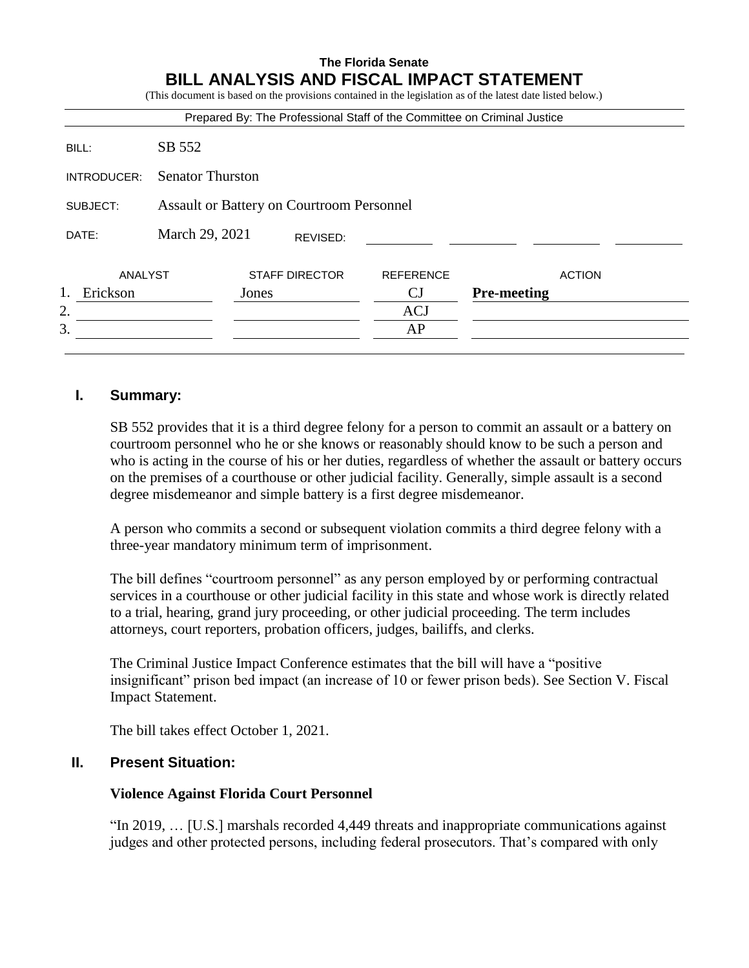# **The Florida Senate BILL ANALYSIS AND FISCAL IMPACT STATEMENT**

|             |                                                  |       |                       |                  | Prepared By: The Professional Staff of the Committee on Criminal Justice |  |  |
|-------------|--------------------------------------------------|-------|-----------------------|------------------|--------------------------------------------------------------------------|--|--|
|             |                                                  |       |                       |                  |                                                                          |  |  |
| BILL:       | SB 552                                           |       |                       |                  |                                                                          |  |  |
| INTRODUCER: | <b>Senator Thurston</b>                          |       |                       |                  |                                                                          |  |  |
| SUBJECT:    | <b>Assault or Battery on Courtroom Personnel</b> |       |                       |                  |                                                                          |  |  |
| DATE:       | March 29, 2021                                   |       | REVISED:              |                  |                                                                          |  |  |
| ANALYST     |                                                  |       | <b>STAFF DIRECTOR</b> | <b>REFERENCE</b> | <b>ACTION</b>                                                            |  |  |
| Erickson    |                                                  | Jones |                       | <b>CJ</b>        | <b>Pre-meeting</b>                                                       |  |  |
| 2.          |                                                  |       |                       | <b>ACJ</b>       |                                                                          |  |  |
| 3.          |                                                  |       |                       | AP               |                                                                          |  |  |

# **I. Summary:**

SB 552 provides that it is a third degree felony for a person to commit an assault or a battery on courtroom personnel who he or she knows or reasonably should know to be such a person and who is acting in the course of his or her duties, regardless of whether the assault or battery occurs on the premises of a courthouse or other judicial facility. Generally, simple assault is a second degree misdemeanor and simple battery is a first degree misdemeanor.

A person who commits a second or subsequent violation commits a third degree felony with a three-year mandatory minimum term of imprisonment.

The bill defines "courtroom personnel" as any person employed by or performing contractual services in a courthouse or other judicial facility in this state and whose work is directly related to a trial, hearing, grand jury proceeding, or other judicial proceeding. The term includes attorneys, court reporters, probation officers, judges, bailiffs, and clerks.

The Criminal Justice Impact Conference estimates that the bill will have a "positive insignificant" prison bed impact (an increase of 10 or fewer prison beds). See Section V. Fiscal Impact Statement.

The bill takes effect October 1, 2021.

### **II. Present Situation:**

#### **Violence Against Florida Court Personnel**

"In 2019, … [U.S.] marshals recorded 4,449 threats and inappropriate communications against judges and other protected persons, including federal prosecutors. That's compared with only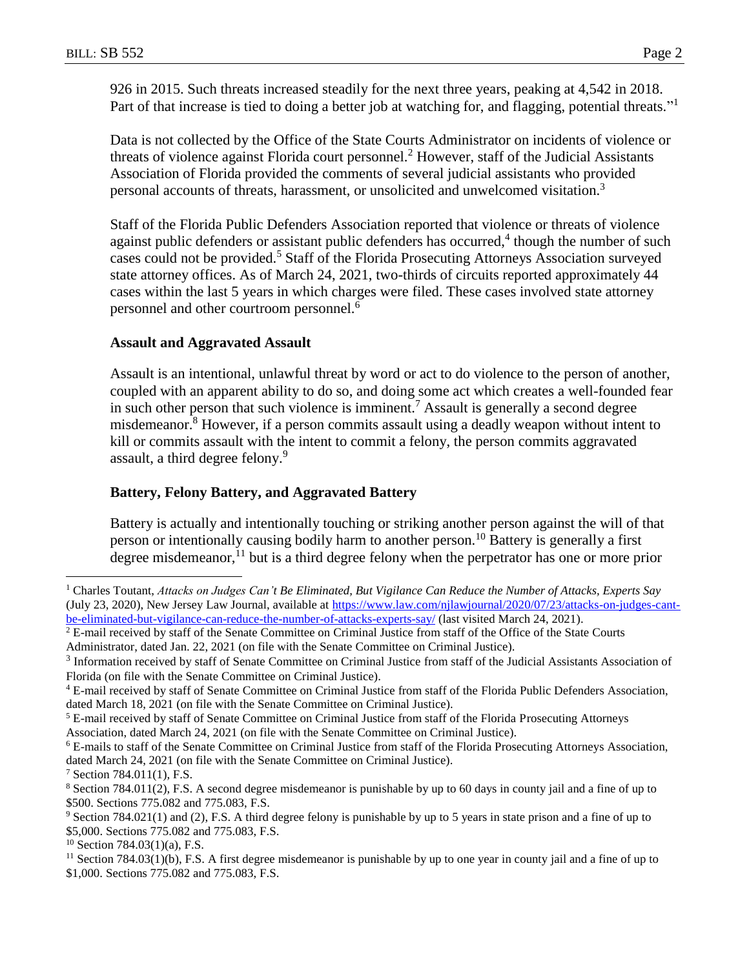926 in 2015. Such threats increased steadily for the next three years, peaking at 4,542 in 2018. Part of that increase is tied to doing a better job at watching for, and flagging, potential threats."<sup>1</sup>

Data is not collected by the Office of the State Courts Administrator on incidents of violence or threats of violence against Florida court personnel.<sup>2</sup> However, staff of the Judicial Assistants Association of Florida provided the comments of several judicial assistants who provided personal accounts of threats, harassment, or unsolicited and unwelcomed visitation.<sup>3</sup>

Staff of the Florida Public Defenders Association reported that violence or threats of violence against public defenders or assistant public defenders has occurred,<sup>4</sup> though the number of such cases could not be provided.<sup>5</sup> Staff of the Florida Prosecuting Attorneys Association surveyed state attorney offices. As of March 24, 2021, two-thirds of circuits reported approximately 44 cases within the last 5 years in which charges were filed. These cases involved state attorney personnel and other courtroom personnel.<sup>6</sup>

### **Assault and Aggravated Assault**

Assault is an intentional, unlawful threat by word or act to do violence to the person of another, coupled with an apparent ability to do so, and doing some act which creates a well-founded fear in such other person that such violence is imminent.<sup>7</sup> Assault is generally a second degree misdemeanor.<sup>8</sup> However, if a person commits assault using a deadly weapon without intent to kill or commits assault with the intent to commit a felony, the person commits aggravated assault, a third degree felony.<sup>9</sup>

### **Battery, Felony Battery, and Aggravated Battery**

Battery is actually and intentionally touching or striking another person against the will of that person or intentionally causing bodily harm to another person.<sup>10</sup> Battery is generally a first degree misdemeanor,<sup>11</sup> but is a third degree felony when the perpetrator has one or more prior

 $\overline{a}$ 

<sup>1</sup> Charles Toutant, *Attacks on Judges Can't Be Eliminated, But Vigilance Can Reduce the Number of Attacks, Experts Say* (July 23, 2020), New Jersey Law Journal, available at [https://www.law.com/njlawjournal/2020/07/23/attacks-on-judges-cant](https://www.law.com/njlawjournal/2020/07/23/attacks-on-judges-cant-be-eliminated-but-vigilance-can-reduce-the-number-of-attacks-experts-say/)[be-eliminated-but-vigilance-can-reduce-the-number-of-attacks-experts-say/](https://www.law.com/njlawjournal/2020/07/23/attacks-on-judges-cant-be-eliminated-but-vigilance-can-reduce-the-number-of-attacks-experts-say/) (last visited March 24, 2021).

<sup>&</sup>lt;sup>2</sup> E-mail received by staff of the Senate Committee on Criminal Justice from staff of the Office of the State Courts Administrator, dated Jan. 22, 2021 (on file with the Senate Committee on Criminal Justice).

<sup>&</sup>lt;sup>3</sup> Information received by staff of Senate Committee on Criminal Justice from staff of the Judicial Assistants Association of Florida (on file with the Senate Committee on Criminal Justice).

<sup>4</sup> E-mail received by staff of Senate Committee on Criminal Justice from staff of the Florida Public Defenders Association, dated March 18, 2021 (on file with the Senate Committee on Criminal Justice).

<sup>5</sup> E-mail received by staff of Senate Committee on Criminal Justice from staff of the Florida Prosecuting Attorneys Association, dated March 24, 2021 (on file with the Senate Committee on Criminal Justice).

<sup>6</sup> E-mails to staff of the Senate Committee on Criminal Justice from staff of the Florida Prosecuting Attorneys Association, dated March 24, 2021 (on file with the Senate Committee on Criminal Justice).

<sup>7</sup> Section 784.011(1), F.S.

<sup>8</sup> Section 784.011(2), F.S. A second degree misdemeanor is punishable by up to 60 days in county jail and a fine of up to \$500. Sections 775.082 and 775.083, F.S.

<sup>9</sup> Section 784.021(1) and (2), F.S. A third degree felony is punishable by up to 5 years in state prison and a fine of up to \$5,000. Sections 775.082 and 775.083, F.S.

 $10$  Section 784.03(1)(a), F.S.

<sup>&</sup>lt;sup>11</sup> Section 784.03(1)(b), F.S. A first degree misdemeanor is punishable by up to one year in county jail and a fine of up to \$1,000. Sections 775.082 and 775.083, F.S.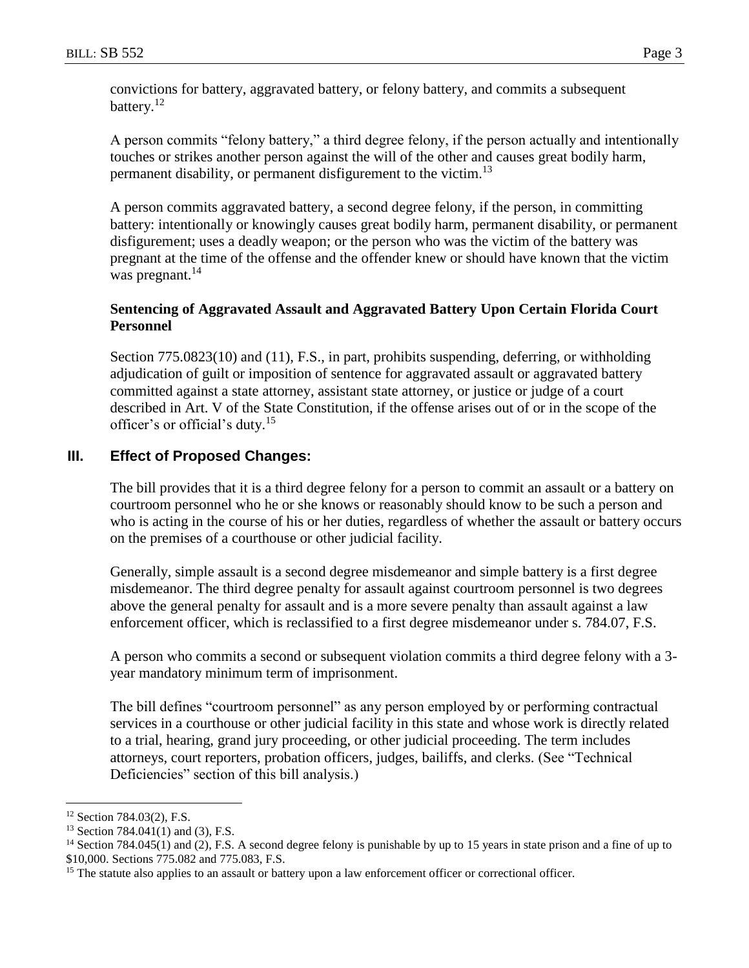convictions for battery, aggravated battery, or felony battery, and commits a subsequent battery.<sup>12</sup>

A person commits "felony battery," a third degree felony, if the person actually and intentionally touches or strikes another person against the will of the other and causes great bodily harm, permanent disability, or permanent disfigurement to the victim.<sup>13</sup>

A person commits aggravated battery, a second degree felony, if the person, in committing battery: intentionally or knowingly causes great bodily harm, permanent disability, or permanent disfigurement; uses a deadly weapon; or the person who was the victim of the battery was pregnant at the time of the offense and the offender knew or should have known that the victim was pregnant. $^{14}$ 

# **Sentencing of Aggravated Assault and Aggravated Battery Upon Certain Florida Court Personnel**

Section 775.0823(10) and (11), F.S., in part, prohibits suspending, deferring, or withholding adjudication of guilt or imposition of sentence for aggravated assault or aggravated battery committed against a state attorney, assistant state attorney, or justice or judge of a court described in Art. V of the State Constitution, if the offense arises out of or in the scope of the officer's or official's duty.<sup>15</sup>

# **III. Effect of Proposed Changes:**

The bill provides that it is a third degree felony for a person to commit an assault or a battery on courtroom personnel who he or she knows or reasonably should know to be such a person and who is acting in the course of his or her duties, regardless of whether the assault or battery occurs on the premises of a courthouse or other judicial facility.

Generally, simple assault is a second degree misdemeanor and simple battery is a first degree misdemeanor. The third degree penalty for assault against courtroom personnel is two degrees above the general penalty for assault and is a more severe penalty than assault against a law enforcement officer, which is reclassified to a first degree misdemeanor under s. 784.07, F.S.

A person who commits a second or subsequent violation commits a third degree felony with a 3 year mandatory minimum term of imprisonment.

The bill defines "courtroom personnel" as any person employed by or performing contractual services in a courthouse or other judicial facility in this state and whose work is directly related to a trial, hearing, grand jury proceeding, or other judicial proceeding. The term includes attorneys, court reporters, probation officers, judges, bailiffs, and clerks. (See "Technical Deficiencies" section of this bill analysis.)

 $\overline{a}$ 

<sup>12</sup> Section 784.03(2), F.S.

 $13$  Section 784.041(1) and (3), F.S.

<sup>&</sup>lt;sup>14</sup> Section 784.045(1) and (2), F.S. A second degree felony is punishable by up to 15 years in state prison and a fine of up to \$10,000. Sections 775.082 and 775.083, F.S.

<sup>&</sup>lt;sup>15</sup> The statute also applies to an assault or battery upon a law enforcement officer or correctional officer.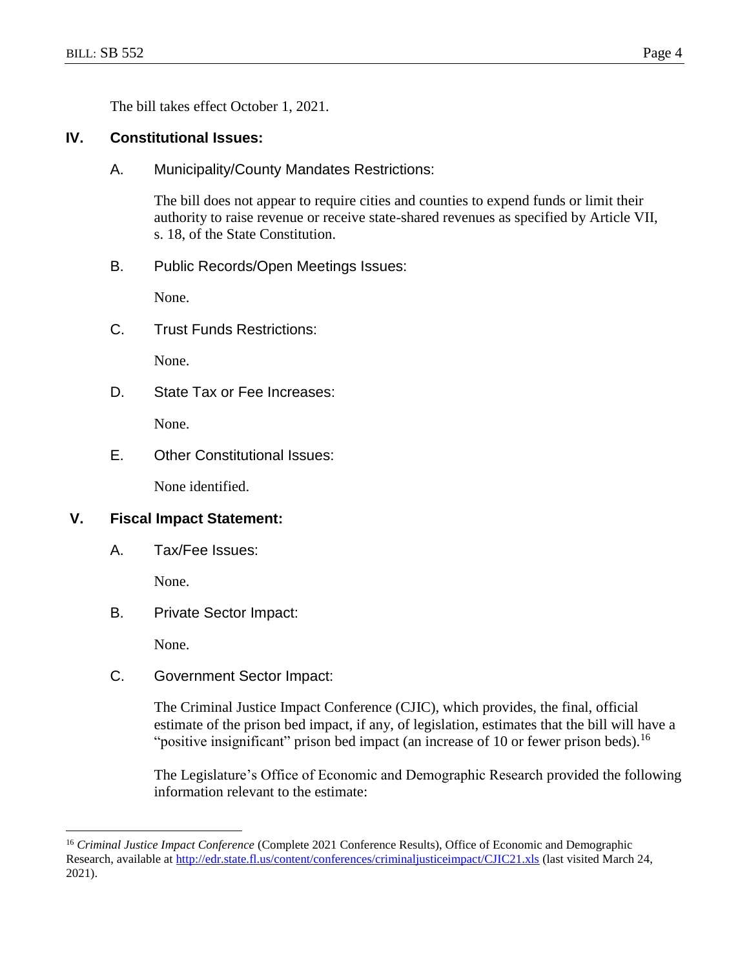The bill takes effect October 1, 2021.

# **IV. Constitutional Issues:**

A. Municipality/County Mandates Restrictions:

The bill does not appear to require cities and counties to expend funds or limit their authority to raise revenue or receive state-shared revenues as specified by Article VII, s. 18, of the State Constitution.

B. Public Records/Open Meetings Issues:

None.

C. Trust Funds Restrictions:

None.

D. State Tax or Fee Increases:

None.

E. Other Constitutional Issues:

None identified.

## **V. Fiscal Impact Statement:**

A. Tax/Fee Issues:

None.

B. Private Sector Impact:

None.

 $\overline{a}$ 

C. Government Sector Impact:

The Criminal Justice Impact Conference (CJIC), which provides, the final, official estimate of the prison bed impact, if any, of legislation, estimates that the bill will have a "positive insignificant" prison bed impact (an increase of 10 or fewer prison beds).<sup>16</sup>

The Legislature's Office of Economic and Demographic Research provided the following information relevant to the estimate:

<sup>16</sup> *Criminal Justice Impact Conference* (Complete 2021 Conference Results), Office of Economic and Demographic Research, available at<http://edr.state.fl.us/content/conferences/criminaljusticeimpact/CJIC21.xls> (last visited March 24, 2021).